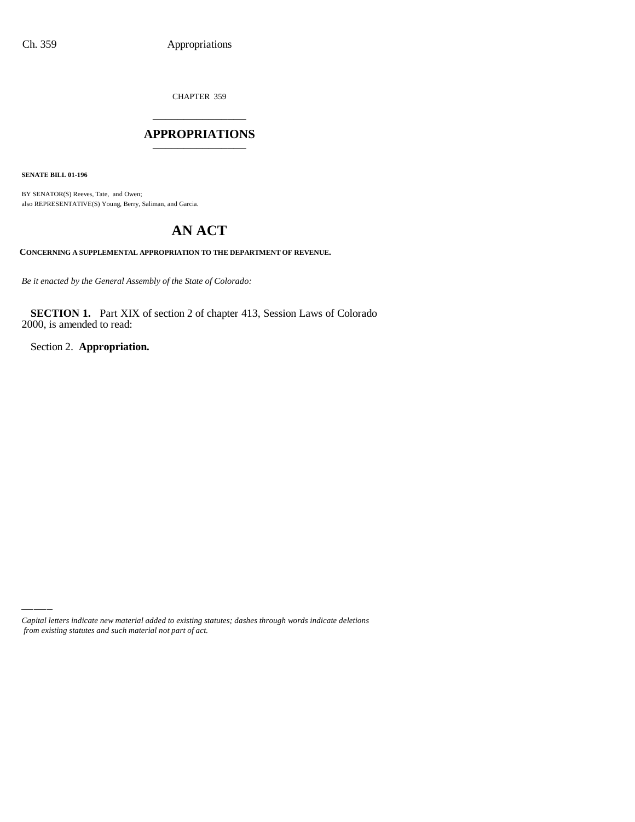CHAPTER 359 \_\_\_\_\_\_\_\_\_\_\_\_\_\_\_

### **APPROPRIATIONS** \_\_\_\_\_\_\_\_\_\_\_\_\_\_\_

**SENATE BILL 01-196**

BY SENATOR(S) Reeves, Tate, and Owen; also REPRESENTATIVE(S) Young, Berry, Saliman, and Garcia.

# **AN ACT**

**CONCERNING A SUPPLEMENTAL APPROPRIATION TO THE DEPARTMENT OF REVENUE.**

*Be it enacted by the General Assembly of the State of Colorado:*

**SECTION 1.** Part XIX of section 2 of chapter 413, Session Laws of Colorado 2000, is amended to read:

Section 2. **Appropriation.**

*Capital letters indicate new material added to existing statutes; dashes through words indicate deletions from existing statutes and such material not part of act.*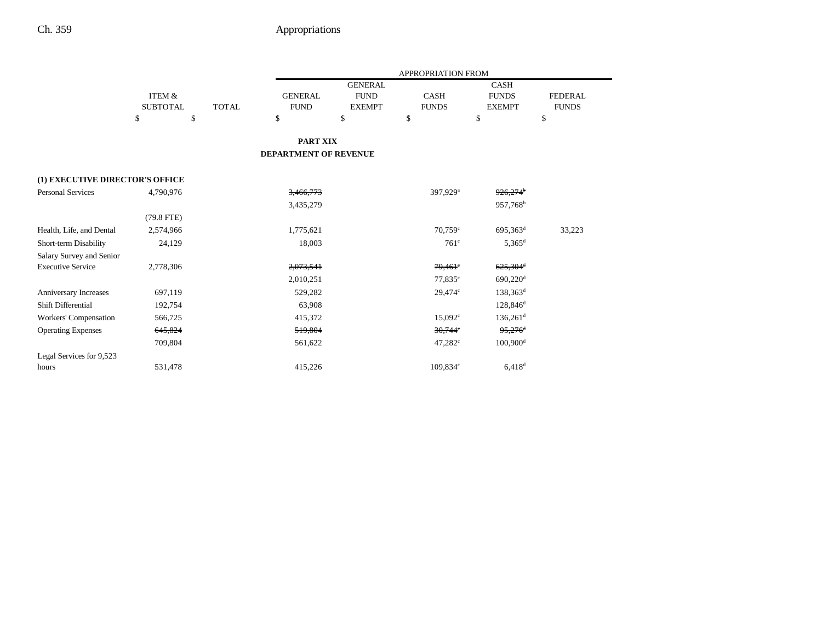|                                 |                   |              |                       |                | APPROPRIATION FROM    |                        |                |
|---------------------------------|-------------------|--------------|-----------------------|----------------|-----------------------|------------------------|----------------|
|                                 |                   |              |                       | <b>GENERAL</b> |                       | <b>CASH</b>            |                |
|                                 | <b>ITEM &amp;</b> |              | <b>GENERAL</b>        | <b>FUND</b>    | <b>CASH</b>           | <b>FUNDS</b>           | <b>FEDERAL</b> |
|                                 | <b>SUBTOTAL</b>   | <b>TOTAL</b> | <b>FUND</b>           | <b>EXEMPT</b>  | <b>FUNDS</b>          | <b>EXEMPT</b>          | <b>FUNDS</b>   |
|                                 | \$<br>\$          |              | \$                    | \$             | \$                    | \$                     | \$             |
|                                 |                   |              | <b>PART XIX</b>       |                |                       |                        |                |
|                                 |                   |              | DEPARTMENT OF REVENUE |                |                       |                        |                |
| (1) EXECUTIVE DIRECTOR'S OFFICE |                   |              |                       |                |                       |                        |                |
| <b>Personal Services</b>        | 4,790,976         |              | 3,466,773             |                | 397,929 <sup>a</sup>  | $926,274$ <sup>b</sup> |                |
|                                 |                   |              | 3,435,279             |                |                       | 957,768 <sup>b</sup>   |                |
|                                 | $(79.8$ FTE)      |              |                       |                |                       |                        |                |
| Health, Life, and Dental        | 2,574,966         |              | 1,775,621             |                | $70,759$ <sup>c</sup> | 695,363 <sup>d</sup>   | 33,223         |
| Short-term Disability           | 24,129            |              | 18,003                |                | $761^\circ$           | $5,365$ <sup>d</sup>   |                |
| Salary Survey and Senior        |                   |              |                       |                |                       |                        |                |
| <b>Executive Service</b>        | 2,778,306         |              | 2,073,541             |                | $79,461$ °            | $625,304$ <sup>d</sup> |                |
|                                 |                   |              | 2,010,251             |                | 77,835 <sup>c</sup>   | $690,220$ <sup>d</sup> |                |
| Anniversary Increases           | 697,119           |              | 529,282               |                | 29,474 <sup>c</sup>   | $138,363^d$            |                |
| Shift Differential              | 192,754           |              | 63,908                |                |                       | $128,846^{\rm d}$      |                |
| Workers' Compensation           | 566,725           |              | 415,372               |                | $15,092^{\circ}$      | $136,261$ <sup>d</sup> |                |
| <b>Operating Expenses</b>       | 645,824           |              | 519,804               |                | $30,744$ °            | $95,276$ <sup>d</sup>  |                |
|                                 | 709,804           |              | 561,622               |                | 47,282 <sup>c</sup>   | $100,900$ <sup>d</sup> |                |
| Legal Services for 9,523        |                   |              |                       |                |                       |                        |                |
| hours                           | 531,478           |              | 415,226               |                | 109,834 <sup>c</sup>  | $6,418$ <sup>d</sup>   |                |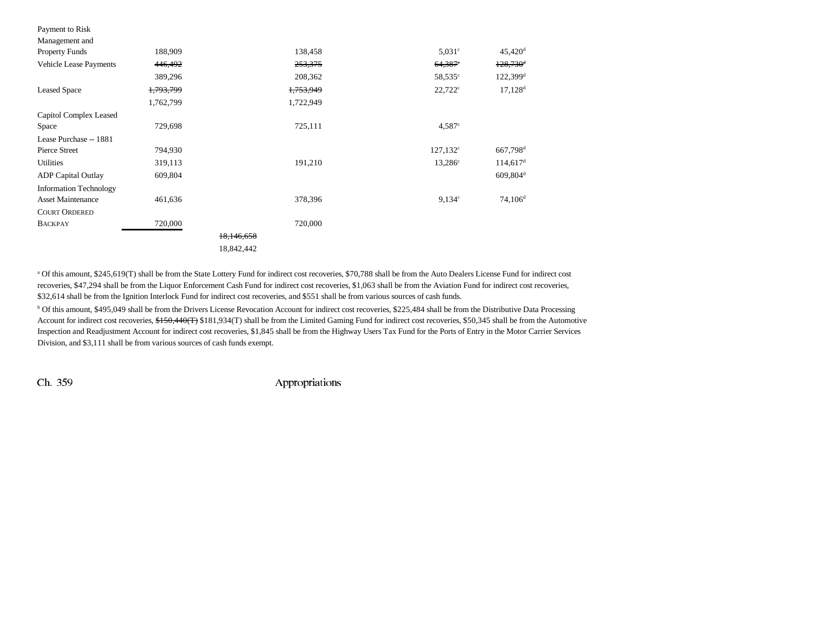| Payment to Risk               |                      |            |                       |                        |
|-------------------------------|----------------------|------------|-----------------------|------------------------|
| Management and                |                      |            |                       |                        |
| <b>Property Funds</b>         | 188,909              | 138,458    | $5,031^{\circ}$       | $45,420$ <sup>d</sup>  |
| Vehicle Lease Payments        | 446,492              | 253,375    | $64,387$ <sup>e</sup> | $128,730$ <sup>d</sup> |
|                               | 389,296              | 208,362    | $58,535^{\circ}$      | $122,399$ <sup>d</sup> |
| <b>Leased Space</b>           | <del>1,793,799</del> | 1,753,949  | $22,722^{\circ}$      | $17,128$ <sup>d</sup>  |
|                               | 1,762,799            | 1,722,949  |                       |                        |
| Capitol Complex Leased        |                      |            |                       |                        |
| Space                         | 729,698              | 725,111    | 4.587c                |                        |
| Lease Purchase -- 1881        |                      |            |                       |                        |
| Pierce Street                 | 794,930              |            | $127,132^{\circ}$     | 667,798 <sup>d</sup>   |
| Utilities                     | 319,113              | 191,210    | $13,286^{\circ}$      | $114,617$ <sup>d</sup> |
| ADP Capital Outlay            | 609,804              |            |                       | $609,804$ <sup>d</sup> |
| <b>Information Technology</b> |                      |            |                       |                        |
| <b>Asset Maintenance</b>      | 461,636              | 378,396    | $9,134^{\circ}$       | $74,106^{\rm d}$       |
| <b>COURT ORDERED</b>          |                      |            |                       |                        |
| <b>BACKPAY</b>                | 720,000              | 720,000    |                       |                        |
|                               |                      | 18,146,658 |                       |                        |
|                               |                      | 18,842,442 |                       |                        |

a Of this amount, \$245,619(T) shall be from the State Lottery Fund for indirect cost recoveries, \$70,788 shall be from the Auto Dealers License Fund for indirect cost recoveries, \$47,294 shall be from the Liquor Enforcement Cash Fund for indirect cost recoveries, \$1,063 shall be from the Aviation Fund for indirect cost recoveries, \$32,614 shall be from the Ignition Interlock Fund for indirect cost recoveries, and \$551 shall be from various sources of cash funds.

<sup>b</sup> Of this amount, \$495,049 shall be from the Drivers License Revocation Account for indirect cost recoveries, \$225,484 shall be from the Distributive Data Processing Account for indirect cost recoveries, \$150,440(T) \$181,934(T) shall be from the Limited Gaming Fund for indirect cost recoveries, \$50,345 shall be from the Automotive Inspection and Readjustment Account for indirect cost recoveries, \$1,845 shall be from the Highway Users Tax Fund for the Ports of Entry in the Motor Carrier Services Division, and \$3,111 shall be from various sources of cash funds exempt.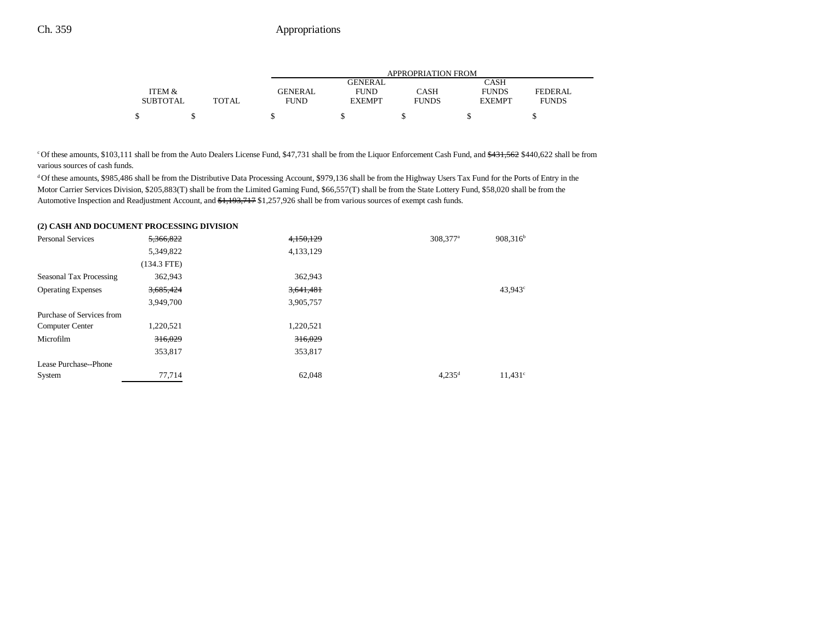|                 |       | APPROPRIATION FROM |                |              |               |              |  |
|-----------------|-------|--------------------|----------------|--------------|---------------|--------------|--|
|                 |       |                    | <b>GENERAL</b> |              | CASH          |              |  |
| ITEM &          |       | <b>GENERAL</b>     | <b>FUND</b>    | CASH         | <b>FUNDS</b>  | FEDERAL      |  |
| <b>SUBTOTAL</b> | TOTAL | <b>FUND</b>        | <b>EXEMPT</b>  | <b>FUNDS</b> | <b>EXEMPT</b> | <b>FUNDS</b> |  |
|                 |       |                    |                |              |               |              |  |

<sup>c</sup> Of these amounts, \$103,111 shall be from the Auto Dealers License Fund, \$47,731 shall be from the Liquor Enforcement Cash Fund, and \$431,562 \$440,622 shall be from various sources of cash funds.

<sup>d</sup> Of these amounts, \$985,486 shall be from the Distributive Data Processing Account, \$979,136 shall be from the Highway Users Tax Fund for the Ports of Entry in the Motor Carrier Services Division, \$205,883(T) shall be from the Limited Gaming Fund, \$66,557(T) shall be from the State Lottery Fund, \$58,020 shall be from the Automotive Inspection and Readjustment Account, and \$1,193,717 \$1,257,926 shall be from various sources of exempt cash funds.

#### **(2) CASH AND DOCUMENT PROCESSING DIVISION**

| <b>Personal Services</b>  | 5,366,822     | 4,150,129 | 308,377 <sup>a</sup> | $908,316^b$         |
|---------------------------|---------------|-----------|----------------------|---------------------|
|                           | 5,349,822     | 4,133,129 |                      |                     |
|                           | $(134.3$ FTE) |           |                      |                     |
| Seasonal Tax Processing   | 362,943       | 362,943   |                      |                     |
| <b>Operating Expenses</b> | 3,685,424     | 3,641,481 |                      | 43,943 <sup>c</sup> |
|                           | 3,949,700     | 3,905,757 |                      |                     |
| Purchase of Services from |               |           |                      |                     |
| <b>Computer Center</b>    | 1,220,521     | 1,220,521 |                      |                     |
| Microfilm                 | 316,029       | 316,029   |                      |                     |
|                           | 353,817       | 353,817   |                      |                     |
| Lease Purchase--Phone     |               |           |                      |                     |
| System                    | 77,714        | 62,048    | $4,235^{\rm d}$      | $11,431^{\circ}$    |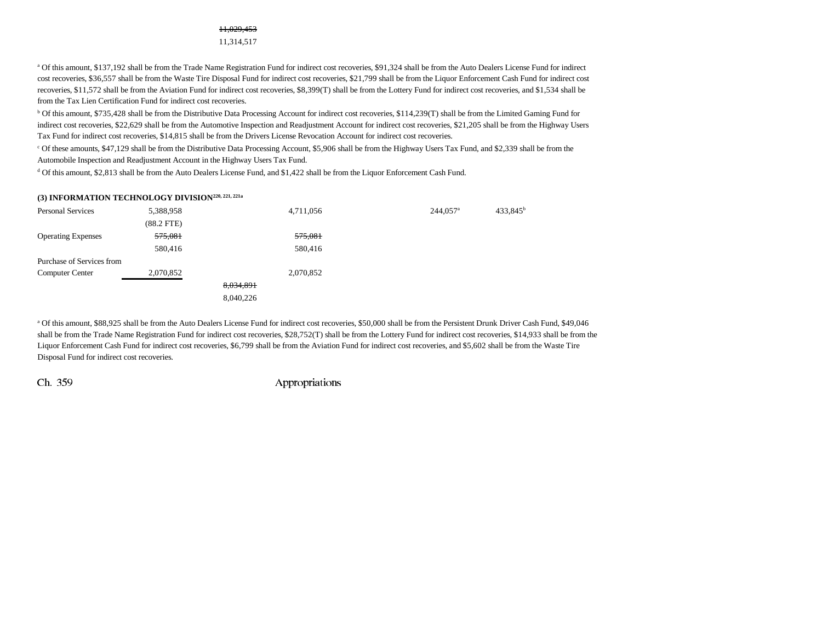#### 11,029,453

11,314,517

<sup>a</sup> Of this amount, \$137,192 shall be from the Trade Name Registration Fund for indirect cost recoveries, \$91,324 shall be from the Auto Dealers License Fund for indirect cost recoveries, \$36,557 shall be from the Waste Tire Disposal Fund for indirect cost recoveries, \$21,799 shall be from the Liquor Enforcement Cash Fund for indirect cost recoveries, \$11,572 shall be from the Aviation Fund for indirect cost recoveries, \$8,399(T) shall be from the Lottery Fund for indirect cost recoveries, and \$1,534 shall be from the Tax Lien Certification Fund for indirect cost recoveries.

b Of this amount, \$735,428 shall be from the Distributive Data Processing Account for indirect cost recoveries, \$114,239(T) shall be from the Limited Gaming Fund for indirect cost recoveries, \$22,629 shall be from the Automotive Inspection and Readjustment Account for indirect cost recoveries, \$21,205 shall be from the Highway Users Tax Fund for indirect cost recoveries, \$14,815 shall be from the Drivers License Revocation Account for indirect cost recoveries.

c Of these amounts, \$47,129 shall be from the Distributive Data Processing Account, \$5,906 shall be from the Highway Users Tax Fund, and \$2,339 shall be from the Automobile Inspection and Readjustment Account in the Highway Users Tax Fund.

d Of this amount, \$2,813 shall be from the Auto Dealers License Fund, and \$1,422 shall be from the Liquor Enforcement Cash Fund.

#### **(3) INFORMATION TECHNOLOGY DIVISION220, 221, 221a**

| <b>Personal Services</b>  | 5,388,958    | 4,711,056 | $244,057$ <sup>a</sup> | 433,845 <sup>b</sup> |
|---------------------------|--------------|-----------|------------------------|----------------------|
|                           | $(88.2$ FTE) |           |                        |                      |
| <b>Operating Expenses</b> | 575,081      | 575,081   |                        |                      |
|                           | 580,416      | 580,416   |                        |                      |
| Purchase of Services from |              |           |                        |                      |
| <b>Computer Center</b>    | 2,070,852    | 2,070,852 |                        |                      |
|                           |              | 8,034,891 |                        |                      |
|                           |              | 8,040,226 |                        |                      |

<sup>a</sup> Of this amount, \$88,925 shall be from the Auto Dealers License Fund for indirect cost recoveries, \$50,000 shall be from the Persistent Drunk Driver Cash Fund, \$49,046 shall be from the Trade Name Registration Fund for indirect cost recoveries, \$28,752(T) shall be from the Lottery Fund for indirect cost recoveries, \$14,933 shall be from the Liquor Enforcement Cash Fund for indirect cost recoveries, \$6,799 shall be from the Aviation Fund for indirect cost recoveries, and \$5,602 shall be from the Waste Tire Disposal Fund for indirect cost recoveries.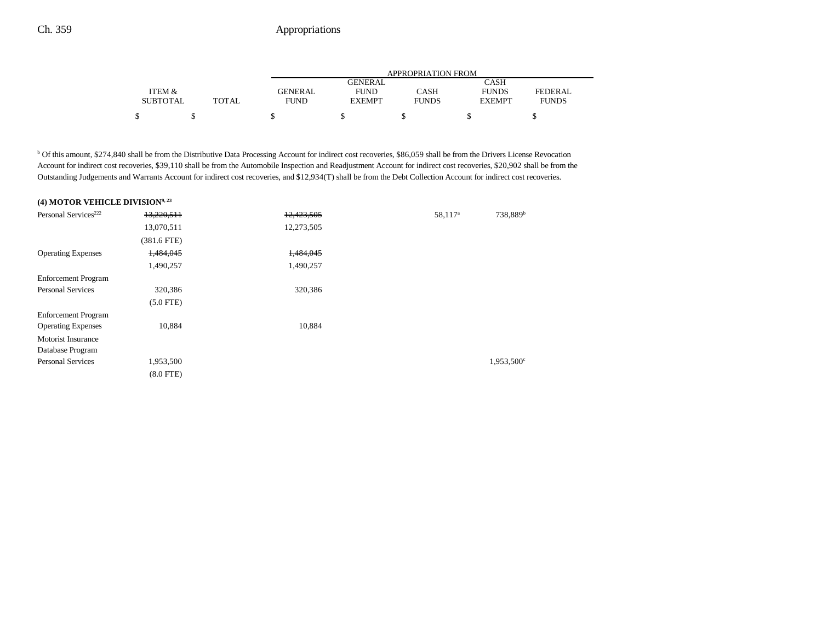|                 |       | APPROPRIATION FROM |               |              |               |                |  |
|-----------------|-------|--------------------|---------------|--------------|---------------|----------------|--|
|                 |       |                    | GENERAL       |              | CASH          |                |  |
| ITEM &          |       | <b>GENERAL</b>     | <b>FUND</b>   | CASH         | <b>FUNDS</b>  | <b>FEDERAL</b> |  |
| <b>SUBTOTAL</b> | TOTAL | FUND               | <b>EXEMPT</b> | <b>FUNDS</b> | <b>EXEMPT</b> | <b>FUNDS</b>   |  |
| S               |       |                    |               |              |               |                |  |

b Of this amount, \$274,840 shall be from the Distributive Data Processing Account for indirect cost recoveries, \$86,059 shall be from the Drivers License Revocation Account for indirect cost recoveries, \$39,110 shall be from the Automobile Inspection and Readjustment Account for indirect cost recoveries, \$20,902 shall be from the Outstanding Judgements and Warrants Account for indirect cost recoveries, and \$12,934(T) shall be from the Debt Collection Account for indirect cost recoveries.

### **(4) MOTOR VEHICLE DIVISION9, 23**

| Personal Services <sup>222</sup> | 13,220,511    | 12,423,505 | 58,117 <sup>a</sup> | 738,889 <sup>b</sup> |
|----------------------------------|---------------|------------|---------------------|----------------------|
|                                  | 13,070,511    | 12,273,505 |                     |                      |
|                                  | $(381.6$ FTE) |            |                     |                      |
| <b>Operating Expenses</b>        | 1,484,045     | 1,484,045  |                     |                      |
|                                  | 1,490,257     | 1,490,257  |                     |                      |
| <b>Enforcement Program</b>       |               |            |                     |                      |
| <b>Personal Services</b>         | 320,386       | 320,386    |                     |                      |
|                                  | $(5.0$ FTE)   |            |                     |                      |
| <b>Enforcement Program</b>       |               |            |                     |                      |
| <b>Operating Expenses</b>        | 10,884        | 10,884     |                     |                      |
| <b>Motorist Insurance</b>        |               |            |                     |                      |
| Database Program                 |               |            |                     |                      |
| <b>Personal Services</b>         | 1,953,500     |            |                     | 1,953,500°           |
|                                  | $(8.0$ FTE)   |            |                     |                      |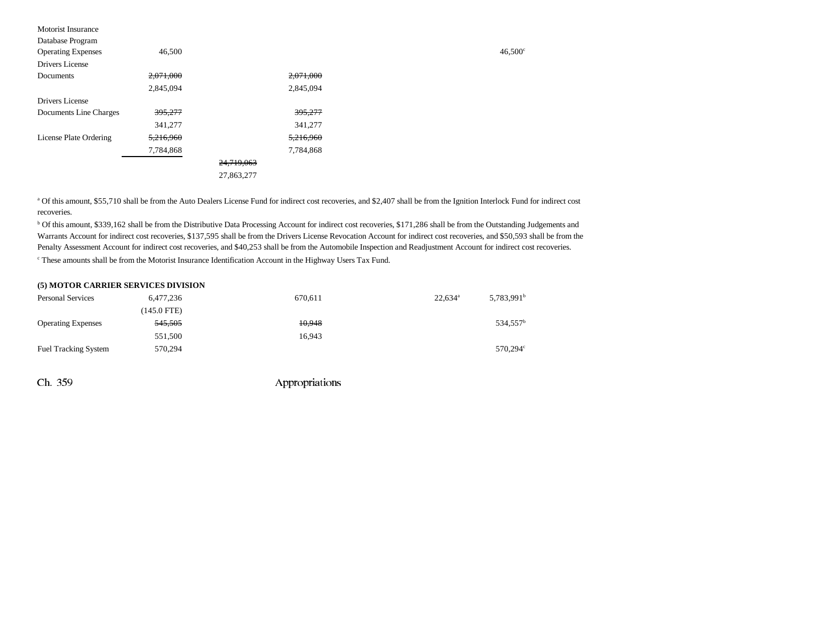| <b>Motorist Insurance</b> |           |            |  |
|---------------------------|-----------|------------|--|
| Database Program          |           |            |  |
| <b>Operating Expenses</b> | 46,500    |            |  |
| Drivers License           |           |            |  |
| Documents                 | 2,071,000 | 2,071,000  |  |
|                           | 2,845,094 | 2,845,094  |  |
| Drivers License           |           |            |  |
| Documents Line Charges    | 395,277   | 395,277    |  |
|                           | 341,277   | 341,277    |  |
| License Plate Ordering    | 5,216,960 | 5,216,960  |  |
|                           | 7,784,868 | 7,784,868  |  |
|                           |           | 24,719,063 |  |
|                           |           | 27,863,277 |  |
|                           |           |            |  |

a Of this amount, \$55,710 shall be from the Auto Dealers License Fund for indirect cost recoveries, and \$2,407 shall be from the Ignition Interlock Fund for indirect cost recoveries.

<sup>b</sup> Of this amount, \$339,162 shall be from the Distributive Data Processing Account for indirect cost recoveries, \$171,286 shall be from the Outstanding Judgements and Warrants Account for indirect cost recoveries, \$137,595 shall be from the Drivers License Revocation Account for indirect cost recoveries, and \$50,593 shall be from the Penalty Assessment Account for indirect cost recoveries, and \$40,253 shall be from the Automobile Inspection and Readjustment Account for indirect cost recoveries.  $\degree$  These amounts shall be from the Motorist Insurance Identification Account in the Highway Users Tax Fund.

#### **(5) MOTOR CARRIER SERVICES DIVISION**

| <b>Personal Services</b>    | 6,477,236     | 670.611 | $22.634^a$ | $5,783,991^b$        |
|-----------------------------|---------------|---------|------------|----------------------|
|                             | $(145.0$ FTE) |         |            |                      |
| <b>Operating Expenses</b>   | 545,505       | 10.948  |            | 534.557 <sup>b</sup> |
|                             | 551,500       | 16.943  |            |                      |
| <b>Fuel Tracking System</b> | 570.294       |         |            | 570.294 <sup>c</sup> |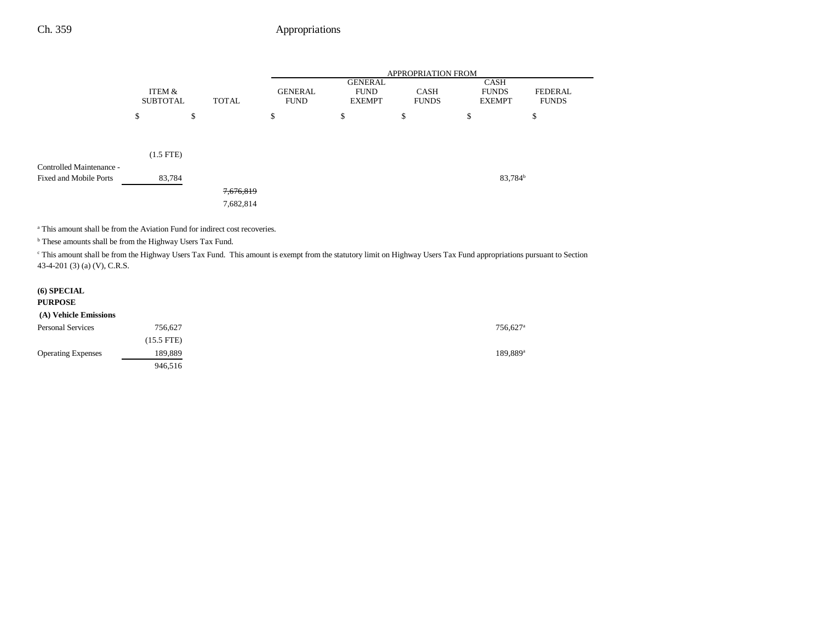|                                                           |                           |                        |                               | <b>APPROPRIATION FROM</b>                      |                             |                                              |                                |  |
|-----------------------------------------------------------|---------------------------|------------------------|-------------------------------|------------------------------------------------|-----------------------------|----------------------------------------------|--------------------------------|--|
|                                                           | ITEM &<br><b>SUBTOTAL</b> | <b>TOTAL</b>           | <b>GENERAL</b><br><b>FUND</b> | <b>GENERAL</b><br><b>FUND</b><br><b>EXEMPT</b> | <b>CASH</b><br><b>FUNDS</b> | <b>CASH</b><br><b>FUNDS</b><br><b>EXEMPT</b> | <b>FEDERAL</b><br><b>FUNDS</b> |  |
|                                                           | \$                        | \$                     | \$                            | \$                                             | \$                          | \$                                           | \$                             |  |
|                                                           |                           |                        |                               |                                                |                             |                                              |                                |  |
|                                                           | $(1.5$ FTE)               |                        |                               |                                                |                             |                                              |                                |  |
| Controlled Maintenance -<br><b>Fixed and Mobile Ports</b> | 83,784                    |                        |                               |                                                |                             | 83,784 <sup>b</sup>                          |                                |  |
|                                                           |                           | 7,676,819<br>7,682,814 |                               |                                                |                             |                                              |                                |  |

a This amount shall be from the Aviation Fund for indirect cost recoveries.

**b** These amounts shall be from the Highway Users Tax Fund.

<sup>c</sup> This amount shall be from the Highway Users Tax Fund. This amount is exempt from the statutory limit on Highway Users Tax Fund appropriations pursuant to Section 43-4-201 (3) (a) (V), C.R.S.

| $(6)$ SPECIAL<br><b>PURPOSE</b> |            |                      |
|---------------------------------|------------|----------------------|
| (A) Vehicle Emissions           |            |                      |
| <b>Personal Services</b>        | 756,627    | 756,627 <sup>a</sup> |
|                                 | (15.5 FTE) |                      |
| <b>Operating Expenses</b>       | 189,889    | 189,889 <sup>a</sup> |
|                                 | 946.516    |                      |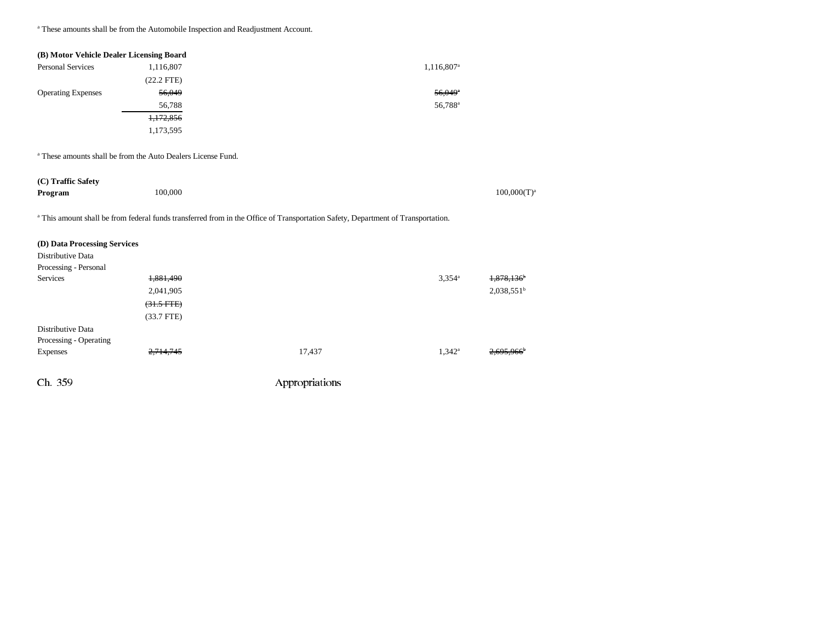a These amounts shall be from the Automobile Inspection and Readjustment Account.

| (B) Motor Vehicle Dealer Licensing Board |                                                                         |                                                                                                                                  |                        |                        |
|------------------------------------------|-------------------------------------------------------------------------|----------------------------------------------------------------------------------------------------------------------------------|------------------------|------------------------|
| <b>Personal Services</b>                 | 1,116,807                                                               |                                                                                                                                  | 1,116,807 <sup>a</sup> |                        |
|                                          | $(22.2$ FTE)                                                            |                                                                                                                                  |                        |                        |
| <b>Operating Expenses</b>                | 56,049                                                                  |                                                                                                                                  | $56.049$ <sup>a</sup>  |                        |
|                                          | 56,788                                                                  |                                                                                                                                  | 56,788 <sup>a</sup>    |                        |
|                                          | 1,172,856                                                               |                                                                                                                                  |                        |                        |
|                                          | 1,173,595                                                               |                                                                                                                                  |                        |                        |
|                                          | <sup>a</sup> These amounts shall be from the Auto Dealers License Fund. |                                                                                                                                  |                        |                        |
| (C) Traffic Safety                       |                                                                         |                                                                                                                                  |                        |                        |
| Program                                  | 100,000                                                                 |                                                                                                                                  |                        | $100,000(T)^a$         |
|                                          |                                                                         | a This amount shall be from federal funds transferred from in the Office of Transportation Safety, Department of Transportation. |                        |                        |
| (D) Data Processing Services             |                                                                         |                                                                                                                                  |                        |                        |
| Distributive Data                        |                                                                         |                                                                                                                                  |                        |                        |
| Processing - Personal                    |                                                                         |                                                                                                                                  |                        |                        |
| <b>Services</b>                          | 1,881,490                                                               |                                                                                                                                  | $3,354^a$              | 1,878,136 <sup>b</sup> |
|                                          | 2,041,905                                                               |                                                                                                                                  |                        | $2,038,551^b$          |
|                                          | $(31.5$ FTE $)$                                                         |                                                                                                                                  |                        |                        |
|                                          | $(33.7$ FTE)                                                            |                                                                                                                                  |                        |                        |
| Distributive Data                        |                                                                         |                                                                                                                                  |                        |                        |
| Processing - Operating                   |                                                                         |                                                                                                                                  |                        |                        |
| <b>Expenses</b>                          |                                                                         | 17,437                                                                                                                           | $1,342^{\circ}$        |                        |
| Ch. 359                                  |                                                                         | Appropriations                                                                                                                   |                        |                        |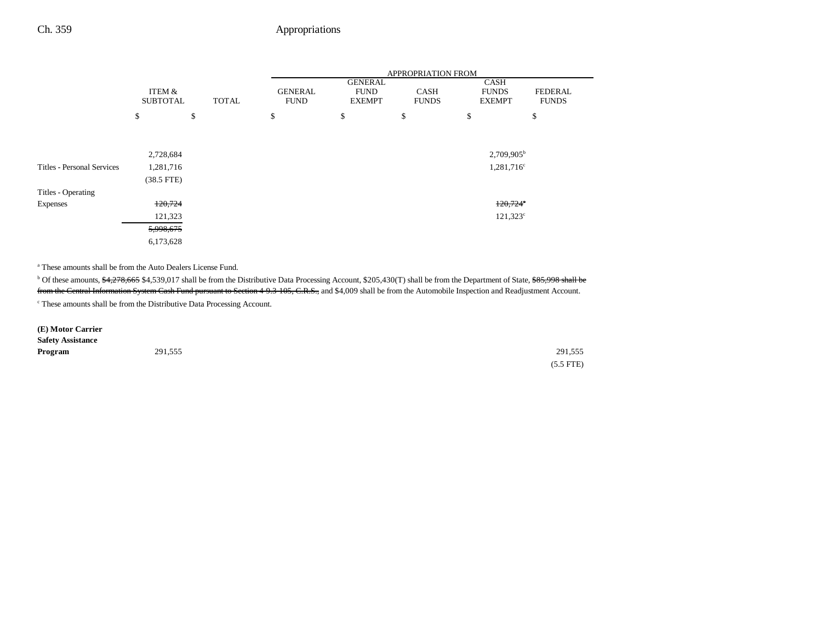|                            |                           |       | APPROPRIATION FROM            |                                                |                             |                                              |                                |
|----------------------------|---------------------------|-------|-------------------------------|------------------------------------------------|-----------------------------|----------------------------------------------|--------------------------------|
|                            | ITEM &<br><b>SUBTOTAL</b> | TOTAL | <b>GENERAL</b><br><b>FUND</b> | <b>GENERAL</b><br><b>FUND</b><br><b>EXEMPT</b> | <b>CASH</b><br><b>FUNDS</b> | <b>CASH</b><br><b>FUNDS</b><br><b>EXEMPT</b> | <b>FEDERAL</b><br><b>FUNDS</b> |
|                            | \$                        | \$    | \$                            | \$                                             | \$                          | \$                                           | \$                             |
|                            |                           |       |                               |                                                |                             |                                              |                                |
|                            | 2,728,684                 |       |                               |                                                |                             | 2,709,905 <sup>b</sup>                       |                                |
| Titles - Personal Services | 1,281,716                 |       |                               |                                                |                             | $1,281,716^c$                                |                                |
|                            | $(38.5$ FTE)              |       |                               |                                                |                             |                                              |                                |
| Titles - Operating         |                           |       |                               |                                                |                             |                                              |                                |
| <b>Expenses</b>            | 120,724                   |       |                               |                                                |                             | $120,724^\circ$                              |                                |
|                            | 121,323                   |       |                               |                                                |                             | $121,323^{\circ}$                            |                                |
|                            | 5,998,675                 |       |                               |                                                |                             |                                              |                                |
|                            | 6,173,628                 |       |                               |                                                |                             |                                              |                                |

a These amounts shall be from the Auto Dealers License Fund.

<sup>b</sup> Of these amounts, \$4,278,665 \$4,539,017 shall be from the Distributive Data Processing Account, \$205,430(T) shall be from the Department of State, \$85,998 shall be from the Central Information System Cash Fund pursuant to Section 4-9.3-105, C.R.S., and \$4,009 shall be from the Automobile Inspection and Readjustment Account.

 $\,^{\mathrm{c}}$  These amounts shall be from the Distributive Data Processing Account.

| (E) Motor Carrier        |         |             |
|--------------------------|---------|-------------|
| <b>Safety Assistance</b> |         |             |
| Program                  | 291,555 | 291,555     |
|                          |         | $(5.5$ FTE) |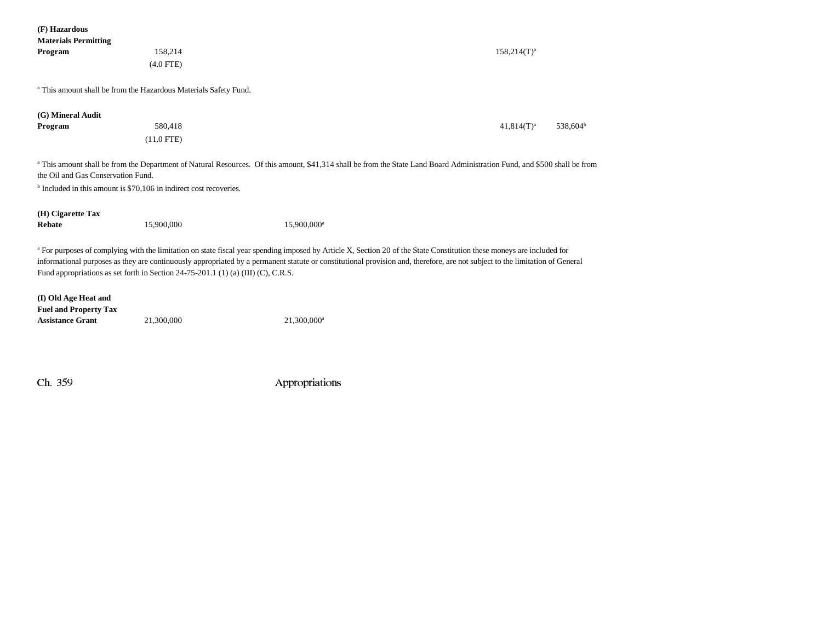| (F) Hazardous<br><b>Materials Permitting</b>                                  |                                                                                   |                                                                                                                                                                                                                                                                                                                                                                   |                                       |
|-------------------------------------------------------------------------------|-----------------------------------------------------------------------------------|-------------------------------------------------------------------------------------------------------------------------------------------------------------------------------------------------------------------------------------------------------------------------------------------------------------------------------------------------------------------|---------------------------------------|
| Program                                                                       | 158,214                                                                           |                                                                                                                                                                                                                                                                                                                                                                   | $158,214(T)^a$                        |
|                                                                               | $(4.0$ FTE)                                                                       |                                                                                                                                                                                                                                                                                                                                                                   |                                       |
|                                                                               | <sup>a</sup> This amount shall be from the Hazardous Materials Safety Fund.       |                                                                                                                                                                                                                                                                                                                                                                   |                                       |
| (G) Mineral Audit                                                             |                                                                                   |                                                                                                                                                                                                                                                                                                                                                                   |                                       |
| Program                                                                       | 580,418                                                                           |                                                                                                                                                                                                                                                                                                                                                                   | $41,814(T)^a$<br>538,604 <sup>b</sup> |
|                                                                               | $(11.0$ FTE)                                                                      |                                                                                                                                                                                                                                                                                                                                                                   |                                       |
| the Oil and Gas Conservation Fund.                                            |                                                                                   | <sup>a</sup> This amount shall be from the Department of Natural Resources. Of this amount, \$41,314 shall be from the State Land Board Administration Fund, and \$500 shall be from                                                                                                                                                                              |                                       |
| <sup>b</sup> Included in this amount is \$70,106 in indirect cost recoveries. |                                                                                   |                                                                                                                                                                                                                                                                                                                                                                   |                                       |
| (H) Cigarette Tax                                                             |                                                                                   |                                                                                                                                                                                                                                                                                                                                                                   |                                       |
| Rebate                                                                        | 15,900,000                                                                        | 15,900,000 <sup>a</sup>                                                                                                                                                                                                                                                                                                                                           |                                       |
|                                                                               | Fund appropriations as set forth in Section 24-75-201.1 (1) (a) (III) (C), C.R.S. | <sup>a</sup> For purposes of complying with the limitation on state fiscal year spending imposed by Article X, Section 20 of the State Constitution these moneys are included for<br>informational purposes as they are continuously appropriated by a permanent statute or constitutional provision and, therefore, are not subject to the limitation of General |                                       |
| (I) Old Age Heat and<br><b>Fuel and Property Tax</b>                          |                                                                                   |                                                                                                                                                                                                                                                                                                                                                                   |                                       |
| <b>Assistance Grant</b>                                                       | 21,300,000                                                                        | 21,300,000 <sup>a</sup>                                                                                                                                                                                                                                                                                                                                           |                                       |
|                                                                               |                                                                                   |                                                                                                                                                                                                                                                                                                                                                                   |                                       |
|                                                                               |                                                                                   |                                                                                                                                                                                                                                                                                                                                                                   |                                       |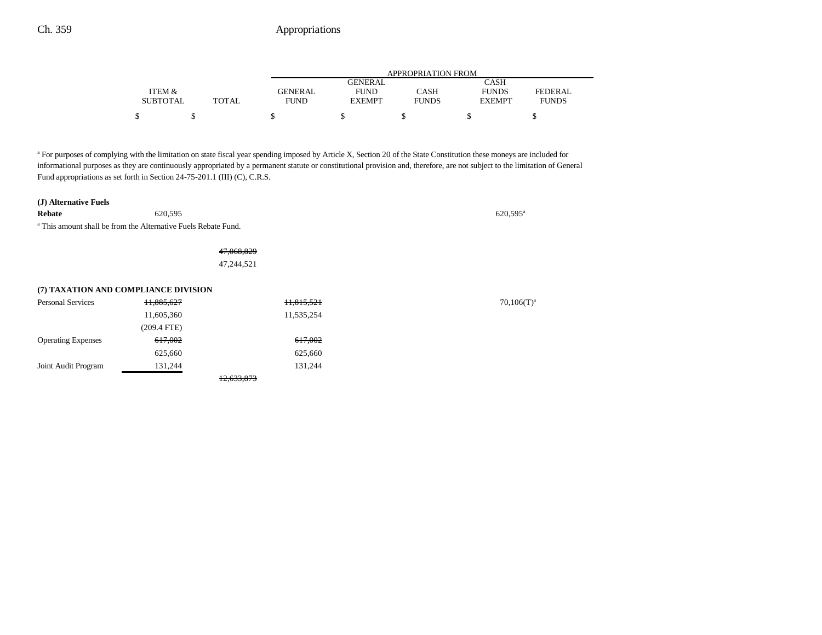|                 |       | APPROPRIATION FROM |               |              |               |              |
|-----------------|-------|--------------------|---------------|--------------|---------------|--------------|
|                 |       |                    | GENERAL       |              | CASH          |              |
| ITEM &          |       | <b>GENERAL</b>     | <b>FUND</b>   | CASH         | <b>FUNDS</b>  | FEDERAL      |
| <b>SUBTOTAL</b> | TOTAL | <b>FUND</b>        | <b>EXEMPT</b> | <b>FUNDS</b> | <b>EXEMPT</b> | <b>FUNDS</b> |
| \$              |       |                    |               |              |               |              |

<sup>a</sup> For purposes of complying with the limitation on state fiscal year spending imposed by Article X, Section 20 of the State Constitution these moneys are included for informational purposes as they are continuously appropriated by a permanent statute or constitutional provision and, therefore, are not subject to the limitation of General Fund appropriations as set forth in Section 24-75-201.1 (III) (C), C.R.S.

| (J) Alternative Fuels |  |
|-----------------------|--|
|-----------------------|--|

**Rebate** 620,595 620,595 620,595 620,595 620,595 620,595 620,595 620,595 620,595 620,595 620,595 620,595 620,595 620 a This amount shall be from the Alternative Fuels Rebate Fund.

> 47,068,829 47,244,521

|                           | (7) TAXATION AND COMPLIANCE DIVISION |            |                 |
|---------------------------|--------------------------------------|------------|-----------------|
| Personal Services         | 11,885,627                           | 11,815,521 | $70,106(T)^{3}$ |
|                           | 11,605,360                           | 11,535,254 |                 |
|                           | (209.4 FTE)                          |            |                 |
| <b>Operating Expenses</b> | 617,002                              | 617,002    |                 |
|                           | 625,660                              | 625,660    |                 |
| Joint Audit Program       | 131,244                              | 131.244    |                 |
|                           |                                      | 12,633,873 |                 |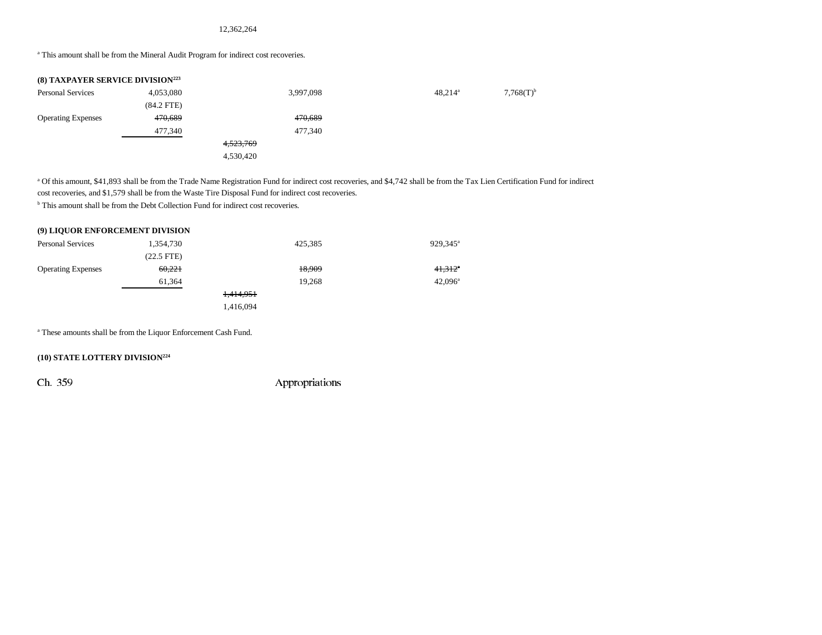12,362,264

<sup>a</sup> This amount shall be from the Mineral Audit Program for indirect cost recoveries.

| <b>(8) TAXPAYER SERVICE DIVISION223</b> |              |           |            |                         |
|-----------------------------------------|--------------|-----------|------------|-------------------------|
| <b>Personal Services</b>                | 4,053,080    | 3,997,098 | $48,214^a$ | $7,768(T)$ <sup>b</sup> |
|                                         | $(84.2$ FTE) |           |            |                         |
| <b>Operating Expenses</b>               | 470,689      | 470,689   |            |                         |
|                                         | 477,340      | 477,340   |            |                         |
|                                         |              | 4,523,769 |            |                         |
|                                         |              | 4,530,420 |            |                         |
|                                         |              |           |            |                         |

a Of this amount, \$41,893 shall be from the Trade Name Registration Fund for indirect cost recoveries, and \$4,742 shall be from the Tax Lien Certification Fund for indirect cost recoveries, and \$1,579 shall be from the Waste Tire Disposal Fund for indirect cost recoveries.

<sup>b</sup> This amount shall be from the Debt Collection Fund for indirect cost recoveries.

| (9) LIQUOR ENFORCEMENT DIVISION |           |                       |
|---------------------------------|-----------|-----------------------|
| 1.354.730                       | 425.385   | 929,345 <sup>a</sup>  |
| $(22.5$ FTE)                    |           |                       |
| 60,221                          | 18,909    | $41.312$ <sup>*</sup> |
| 61,364                          | 19.268    | $42.096^{\circ}$      |
|                                 | 1,414,951 |                       |
|                                 | 1,416,094 |                       |
|                                 |           |                       |

a These amounts shall be from the Liquor Enforcement Cash Fund.

### **(10) STATE LOTTERY DIVISION224**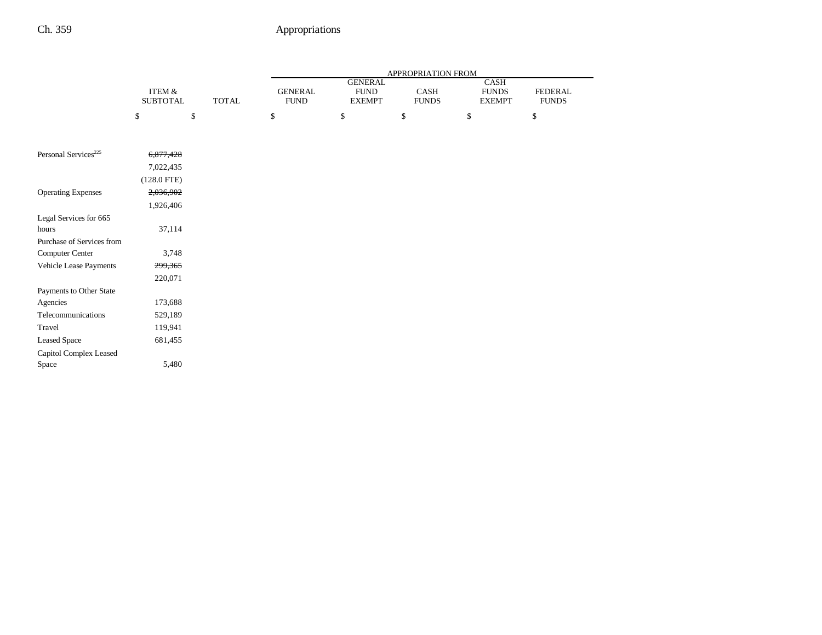|                                    |                           |              | APPROPRIATION FROM            |                                                |                      |                                              |                         |
|------------------------------------|---------------------------|--------------|-------------------------------|------------------------------------------------|----------------------|----------------------------------------------|-------------------------|
|                                    | ITEM &<br><b>SUBTOTAL</b> | <b>TOTAL</b> | <b>GENERAL</b><br><b>FUND</b> | <b>GENERAL</b><br><b>FUND</b><br><b>EXEMPT</b> | CASH<br><b>FUNDS</b> | <b>CASH</b><br><b>FUNDS</b><br><b>EXEMPT</b> | FEDERAL<br><b>FUNDS</b> |
|                                    | \$                        | \$           | \$                            | \$                                             | \$                   | \$                                           | \$                      |
| Personal Services <sup>225</sup>   |                           |              |                               |                                                |                      |                                              |                         |
|                                    | 6,877,428                 |              |                               |                                                |                      |                                              |                         |
|                                    | 7,022,435                 |              |                               |                                                |                      |                                              |                         |
|                                    | $(128.0$ FTE)             |              |                               |                                                |                      |                                              |                         |
| <b>Operating Expenses</b>          | 2,036,902                 |              |                               |                                                |                      |                                              |                         |
|                                    | 1,926,406                 |              |                               |                                                |                      |                                              |                         |
| Legal Services for 665             |                           |              |                               |                                                |                      |                                              |                         |
| hours<br>Purchase of Services from | 37,114                    |              |                               |                                                |                      |                                              |                         |
| Computer Center                    | 3,748                     |              |                               |                                                |                      |                                              |                         |
| Vehicle Lease Payments             | 299,365                   |              |                               |                                                |                      |                                              |                         |
|                                    | 220,071                   |              |                               |                                                |                      |                                              |                         |
| Payments to Other State            |                           |              |                               |                                                |                      |                                              |                         |
| Agencies                           | 173,688                   |              |                               |                                                |                      |                                              |                         |
| Telecommunications                 | 529,189                   |              |                               |                                                |                      |                                              |                         |
| Travel                             | 119,941                   |              |                               |                                                |                      |                                              |                         |
| <b>Leased Space</b>                | 681,455                   |              |                               |                                                |                      |                                              |                         |
| Capitol Complex Leased             |                           |              |                               |                                                |                      |                                              |                         |
| Space                              | 5,480                     |              |                               |                                                |                      |                                              |                         |
|                                    |                           |              |                               |                                                |                      |                                              |                         |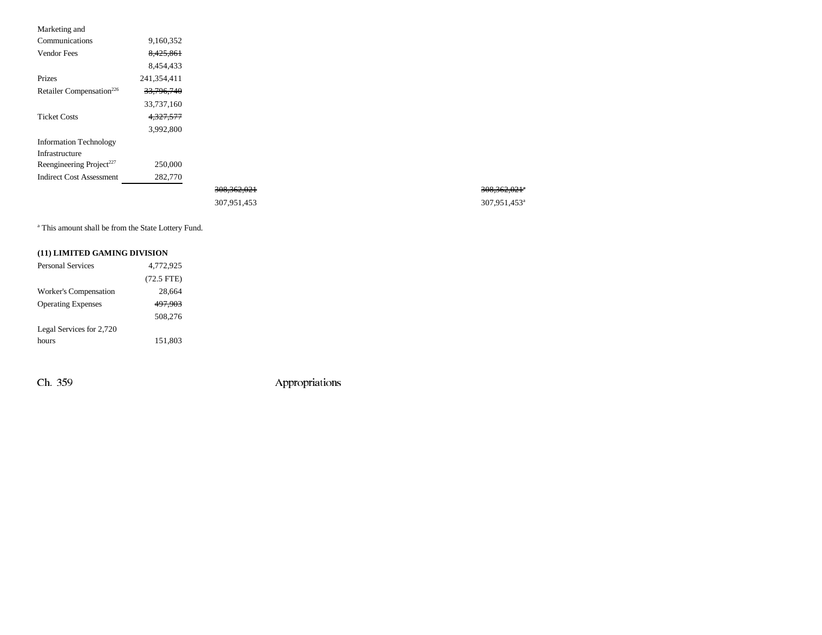| Marketing and                        |                       |
|--------------------------------------|-----------------------|
| Communications                       | 9,160,352             |
| <b>Vendor Fees</b>                   | 8.425.861             |
|                                      | 8.454.433             |
| Prizes                               | 241.354.411           |
| Retailer Compensation <sup>226</sup> | <del>33.796.740</del> |
|                                      | 33,737,160            |
| Ticket Costs                         | <del>4.327.577</del>  |
|                                      | 3.992.800             |
| <b>Information Technology</b>        |                       |
| Infrastructure                       |                       |
| Reengineering Project <sup>227</sup> | 250,000               |
| Indirect Cost Assessment             | 282,770               |
|                                      |                       |

| 308, 362, 021 | <del>308,362,021</del> * |
|---------------|--------------------------|
| 307.951.453   | 307.951.453 <sup>a</sup> |

a This amount shall be from the State Lottery Fund.

### **(11) LIMITED GAMING DIVISION**

| <b>Personal Services</b>  | 4.772.925    |
|---------------------------|--------------|
|                           | $(72.5$ FTE) |
| Worker's Compensation     | 28.664       |
| <b>Operating Expenses</b> | 497.903      |
|                           | 508,276      |
| Legal Services for 2,720  |              |
| hours                     | 151,803      |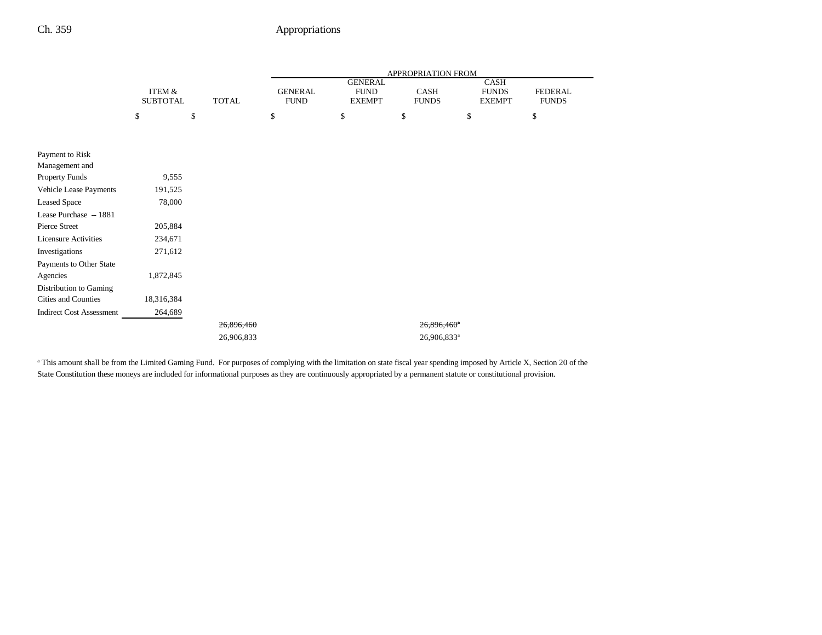|                                 |                                      |              | APPROPRIATION FROM            |                |                             |                               |                                |
|---------------------------------|--------------------------------------|--------------|-------------------------------|----------------|-----------------------------|-------------------------------|--------------------------------|
|                                 |                                      |              |                               | <b>GENERAL</b> |                             | <b>CASH</b>                   |                                |
|                                 | <b>ITEM &amp;</b><br><b>SUBTOTAL</b> | <b>TOTAL</b> | <b>GENERAL</b><br><b>FUND</b> | <b>FUND</b>    | <b>CASH</b><br><b>FUNDS</b> | <b>FUNDS</b><br><b>EXEMPT</b> | <b>FEDERAL</b><br><b>FUNDS</b> |
|                                 |                                      |              |                               | <b>EXEMPT</b>  |                             |                               |                                |
|                                 | \$                                   | \$           | \$                            | \$             | \$                          | \$                            | \$                             |
|                                 |                                      |              |                               |                |                             |                               |                                |
| Payment to Risk                 |                                      |              |                               |                |                             |                               |                                |
| Management and                  |                                      |              |                               |                |                             |                               |                                |
| Property Funds                  | 9,555                                |              |                               |                |                             |                               |                                |
| Vehicle Lease Payments          | 191,525                              |              |                               |                |                             |                               |                                |
| <b>Leased Space</b>             | 78,000                               |              |                               |                |                             |                               |                                |
| Lease Purchase -- 1881          |                                      |              |                               |                |                             |                               |                                |
| Pierce Street                   | 205,884                              |              |                               |                |                             |                               |                                |
| <b>Licensure Activities</b>     | 234,671                              |              |                               |                |                             |                               |                                |
| Investigations                  | 271,612                              |              |                               |                |                             |                               |                                |
| Payments to Other State         |                                      |              |                               |                |                             |                               |                                |
| Agencies                        | 1,872,845                            |              |                               |                |                             |                               |                                |
| Distribution to Gaming          |                                      |              |                               |                |                             |                               |                                |
| Cities and Counties             | 18,316,384                           |              |                               |                |                             |                               |                                |
| <b>Indirect Cost Assessment</b> | 264,689                              |              |                               |                |                             |                               |                                |
|                                 |                                      | 26,896,460   |                               |                | 26,896,460 <sup>a</sup>     |                               |                                |
|                                 |                                      | 26,906,833   |                               |                | 26,906,833 <sup>a</sup>     |                               |                                |

<sup>a</sup> This amount shall be from the Limited Gaming Fund. For purposes of complying with the limitation on state fiscal year spending imposed by Article X, Section 20 of the State Constitution these moneys are included for informational purposes as they are continuously appropriated by a permanent statute or constitutional provision.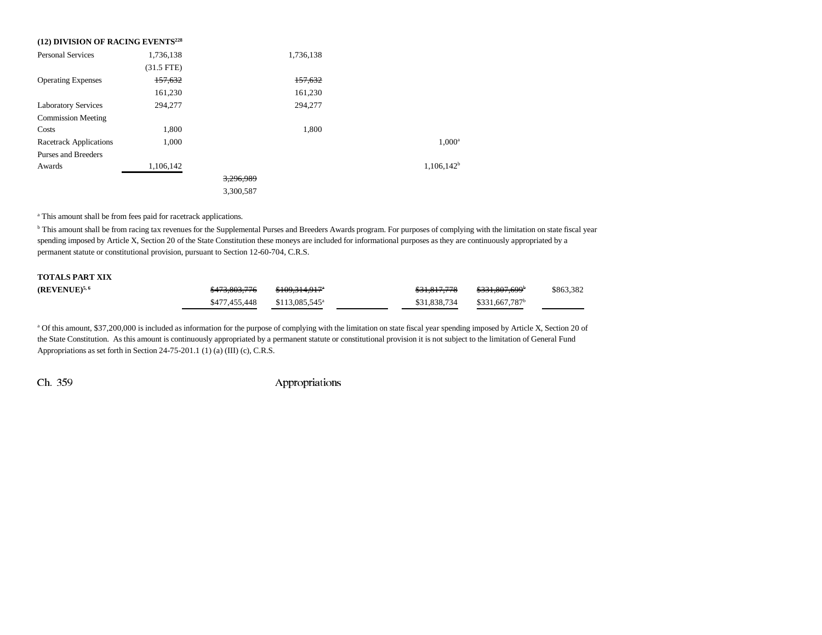| (12) DIVISION OF RACING EVENTS <sup>228</sup> |              |           |           |               |
|-----------------------------------------------|--------------|-----------|-----------|---------------|
| <b>Personal Services</b>                      | 1,736,138    |           | 1,736,138 |               |
|                                               | $(31.5$ FTE) |           |           |               |
| <b>Operating Expenses</b>                     | 157,632      |           | 157,632   |               |
|                                               | 161,230      |           | 161,230   |               |
| <b>Laboratory Services</b>                    | 294,277      |           | 294,277   |               |
| <b>Commission Meeting</b>                     |              |           |           |               |
| Costs                                         | 1.800        |           | 1,800     |               |
| <b>Racetrack Applications</b>                 | 1,000        |           |           | $1,000^a$     |
| Purses and Breeders                           |              |           |           |               |
| Awards                                        | 1,106,142    |           |           | $1,106,142^b$ |
|                                               |              | 3,296,989 |           |               |
|                                               |              | 3,300,587 |           |               |

a This amount shall be from fees paid for racetrack applications.

<sup>b</sup> This amount shall be from racing tax revenues for the Supplemental Purses and Breeders Awards program. For purposes of complying with the limitation on state fiscal year spending imposed by Article X, Section 20 of the State Constitution these moneys are included for informational purposes as they are continuously appropriated by a permanent statute or constitutional provision, pursuant to Section 12-60-704, C.R.S.

| <b>TOTALS PART XIX</b> |                          |                             |              |                            |           |
|------------------------|--------------------------|-----------------------------|--------------|----------------------------|-----------|
| $(REVENUE)^{5,6}$      | <del>\$473,803,776</del> | \$109.314.917 <sup>a</sup>  | \$31.817.778 | <del>\$331,807,699</del> ° | \$863,382 |
|                        | \$477.455.448            | $$113.085.545$ <sup>a</sup> | \$31,838,734 | \$331.667.787 <sup>b</sup> |           |

<sup>a</sup> Of this amount, \$37,200,000 is included as information for the purpose of complying with the limitation on state fiscal year spending imposed by Article X, Section 20 of the State Constitution. As this amount is continuously appropriated by a permanent statute or constitutional provision it is not subject to the limitation of General Fund Appropriations as set forth in Section 24-75-201.1 (1) (a) (III) (c), C.R.S.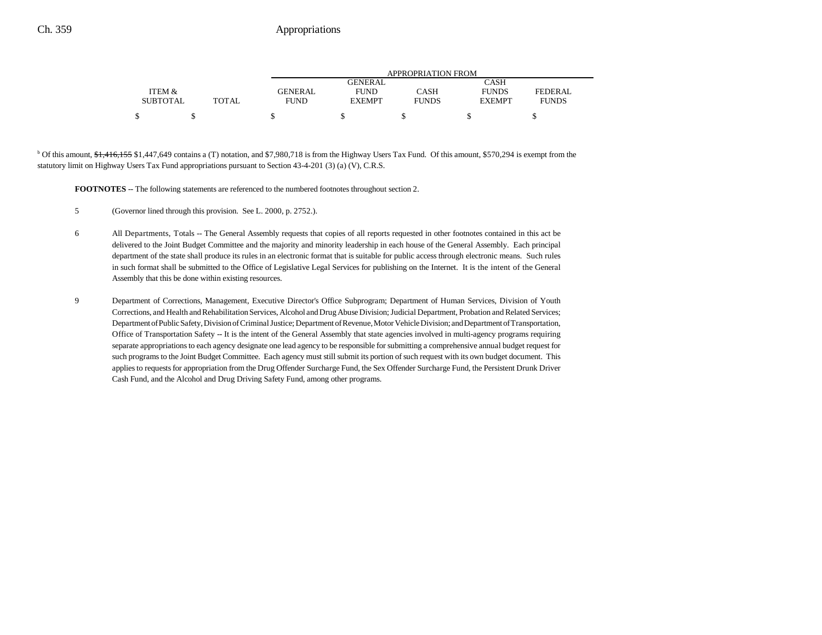|                 |       | APPROPRIATION FROM |               |              |               |              |  |
|-----------------|-------|--------------------|---------------|--------------|---------------|--------------|--|
|                 |       |                    | GENERAL       |              | CASH          |              |  |
| ITEM &          |       | <b>GENERAL</b>     | <b>FUND</b>   | CASH         | <b>FUNDS</b>  | FEDERAL      |  |
| <b>SUBTOTAL</b> | TOTAL | <b>FUND</b>        | <b>EXEMPT</b> | <b>FUNDS</b> | <b>EXEMPT</b> | <b>FUNDS</b> |  |
| S               |       |                    |               |              |               |              |  |

<sup>b</sup> Of this amount, \$1,416,155 \$1,447,649 contains a (T) notation, and \$7,980,718 is from the Highway Users Tax Fund. Of this amount, \$570,294 is exempt from the statutory limit on Highway Users Tax Fund appropriations pursuant to Section 43-4-201 (3) (a) (V), C.R.S.

**FOOTNOTES** -- The following statements are referenced to the numbered footnotes throughout section 2.

- 5 (Governor lined through this provision. See L. 2000, p. 2752.).
- 6 All Departments, Totals -- The General Assembly requests that copies of all reports requested in other footnotes contained in this act be delivered to the Joint Budget Committee and the majority and minority leadership in each house of the General Assembly. Each principal department of the state shall produce its rules in an electronic format that is suitable for public access through electronic means. Such rules in such format shall be submitted to the Office of Legislative Legal Services for publishing on the Internet. It is the intent of the General Assembly that this be done within existing resources.
- 9 Department of Corrections, Management, Executive Director's Office Subprogram; Department of Human Services, Division of Youth Corrections, and Health and Rehabilitation Services, Alcohol and Drug Abuse Division; Judicial Department, Probation and Related Services; Department of Public Safety, Division of Criminal Justice; Department of Revenue, Motor Vehicle Division; and Department of Transportation, Office of Transportation Safety -- It is the intent of the General Assembly that state agencies involved in multi-agency programs requiring separate appropriations to each agency designate one lead agency to be responsible for submitting a comprehensive annual budget request for such programs to the Joint Budget Committee. Each agency must still submit its portion of such request with its own budget document. This applies to requests for appropriation from the Drug Offender Surcharge Fund, the Sex Offender Surcharge Fund, the Persistent Drunk Driver Cash Fund, and the Alcohol and Drug Driving Safety Fund, among other programs.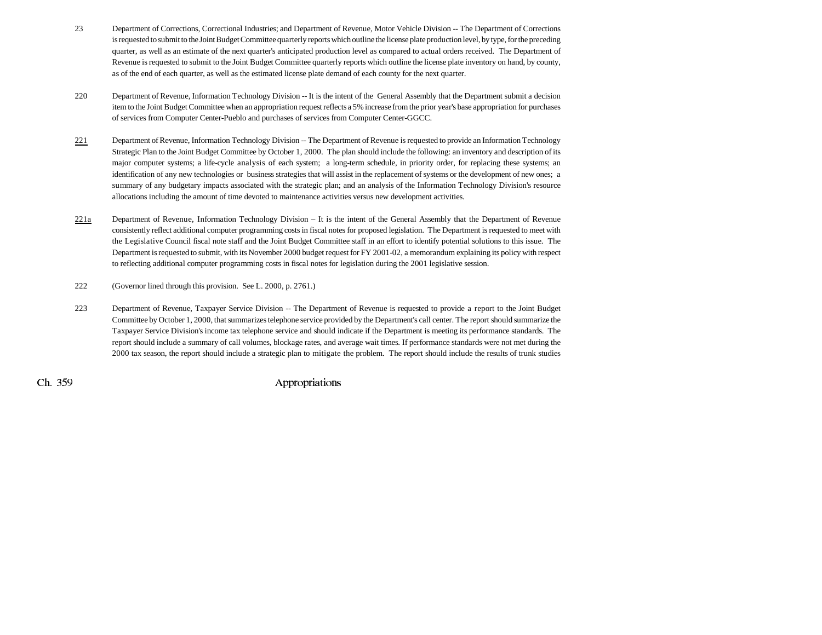- 23 Department of Corrections, Correctional Industries; and Department of Revenue, Motor Vehicle Division -- The Department of Corrections is requested to submit to the Joint Budget Committee quarterly reports which outline the license plate production level, by type, for the preceding quarter, as well as an estimate of the next quarter's anticipated production level as compared to actual orders received. The Department of Revenue is requested to submit to the Joint Budget Committee quarterly reports which outline the license plate inventory on hand, by county, as of the end of each quarter, as well as the estimated license plate demand of each county for the next quarter.
- 220 Department of Revenue, Information Technology Division -- It is the intent of the General Assembly that the Department submit a decision item to the Joint Budget Committee when an appropriation request reflects a 5% increase from the prior year's base appropriation for purchases of services from Computer Center-Pueblo and purchases of services from Computer Center-GGCC.
- 221Department of Revenue, Information Technology Division -- The Department of Revenue is requested to provide an Information Technology Strategic Plan to the Joint Budget Committee by October 1, 2000. The plan should include the following: an inventory and description of its major computer systems; a life-cycle analysis of each system; a long-term schedule, in priority order, for replacing these systems; an identification of any new technologies or business strategies that will assist in the replacement of systems or the development of new ones; a summary of any budgetary impacts associated with the strategic plan; and an analysis of the Information Technology Division's resource allocations including the amount of time devoted to maintenance activities versus new development activities.
- 221a Department of Revenue, Information Technology Division – It is the intent of the General Assembly that the Department of Revenue consistently reflect additional computer programming costs in fiscal notes for proposed legislation. The Department is requested to meet with the Legislative Council fiscal note staff and the Joint Budget Committee staff in an effort to identify potential solutions to this issue. The Department is requested to submit, with its November 2000 budget request for FY 2001-02, a memorandum explaining its policy with respect to reflecting additional computer programming costs in fiscal notes for legislation during the 2001 legislative session.
- 222 (Governor lined through this provision. See L. 2000, p. 2761.)
- 223 Department of Revenue, Taxpayer Service Division -- The Department of Revenue is requested to provide a report to the Joint Budget Committee by October 1, 2000, that summarizes telephone service provided by the Department's call center. The report should summarize the Taxpayer Service Division's income tax telephone service and should indicate if the Department is meeting its performance standards. The report should include a summary of call volumes, blockage rates, and average wait times. If performance standards were not met during the 2000 tax season, the report should include a strategic plan to mitigate the problem. The report should include the results of trunk studies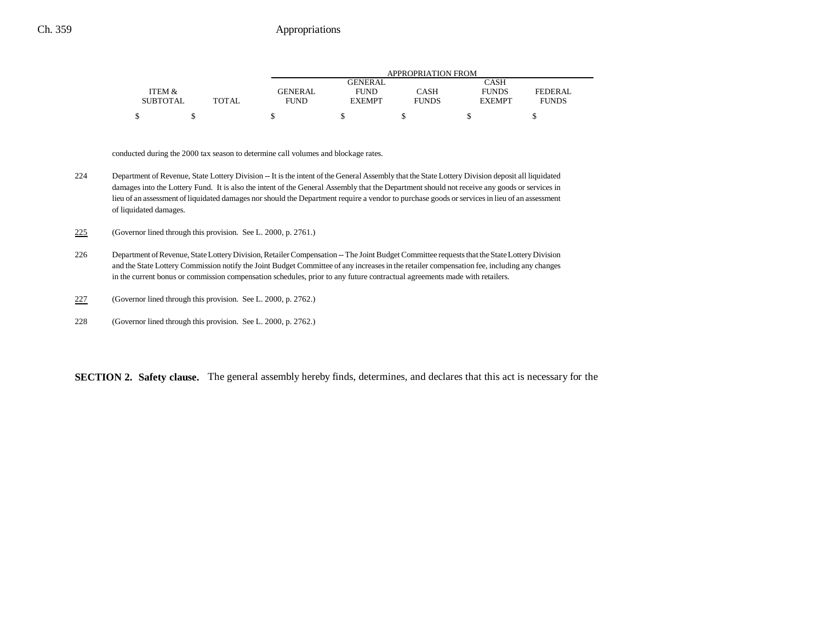|                 |       | APPROPRIATION FROM |                |              |               |              |  |
|-----------------|-------|--------------------|----------------|--------------|---------------|--------------|--|
|                 |       |                    | <b>GENERAL</b> |              | CASH          |              |  |
| ITEM &          |       | <b>GENERAL</b>     | <b>FUND</b>    | CASH         | <b>FUNDS</b>  | FEDERAL.     |  |
| <b>SUBTOTAL</b> | TOTAL | <b>FUND</b>        | <b>EXEMPT</b>  | <b>FUNDS</b> | <b>EXEMPT</b> | <b>FUNDS</b> |  |
|                 |       |                    |                |              |               |              |  |

conducted during the 2000 tax season to determine call volumes and blockage rates.

224 Department of Revenue, State Lottery Division -- It is the intent of the General Assembly that the State Lottery Division deposit all liquidated damages into the Lottery Fund. It is also the intent of the General Assembly that the Department should not receive any goods or services in lieu of an assessment of liquidated damages nor should the Department require a vendor to purchase goods or services in lieu of an assessment of liquidated damages.

225(Governor lined through this provision. See L. 2000, p. 2761.)

- 226 Department of Revenue, State Lottery Division, Retailer Compensation -- The Joint Budget Committee requests that the State Lottery Division and the State Lottery Commission notify the Joint Budget Committee of any increases in the retailer compensation fee, including any changes in the current bonus or commission compensation schedules, prior to any future contractual agreements made with retailers.
- 227(Governor lined through this provision. See L. 2000, p. 2762.)
- 228 (Governor lined through this provision. See L. 2000, p. 2762.)

**SECTION 2. Safety clause.** The general assembly hereby finds, determines, and declares that this act is necessary for the